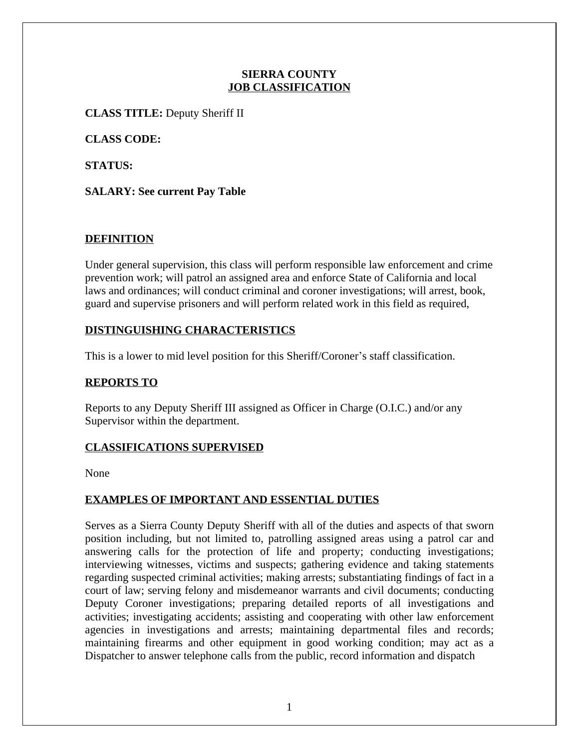### **SIERRA COUNTY JOB CLASSIFICATION**

**CLASS TITLE:** Deputy Sheriff II

**CLASS CODE:**

**STATUS:**

**SALARY: See current Pay Table**

# **DEFINITION**

Under general supervision, this class will perform responsible law enforcement and crime prevention work; will patrol an assigned area and enforce State of California and local laws and ordinances; will conduct criminal and coroner investigations; will arrest, book, guard and supervise prisoners and will perform related work in this field as required,

# **DISTINGUISHING CHARACTERISTICS**

This is a lower to mid level position for this Sheriff/Coroner's staff classification.

# **REPORTS TO**

Reports to any Deputy Sheriff III assigned as Officer in Charge (O.I.C.) and/or any Supervisor within the department.

# **CLASSIFICATIONS SUPERVISED**

None

# **EXAMPLES OF IMPORTANT AND ESSENTIAL DUTIES**

Serves as a Sierra County Deputy Sheriff with all of the duties and aspects of that sworn position including, but not limited to, patrolling assigned areas using a patrol car and answering calls for the protection of life and property; conducting investigations; interviewing witnesses, victims and suspects; gathering evidence and taking statements regarding suspected criminal activities; making arrests; substantiating findings of fact in a court of law; serving felony and misdemeanor warrants and civil documents; conducting Deputy Coroner investigations; preparing detailed reports of all investigations and activities; investigating accidents; assisting and cooperating with other law enforcement agencies in investigations and arrests; maintaining departmental files and records; maintaining firearms and other equipment in good working condition; may act as a Dispatcher to answer telephone calls from the public, record information and dispatch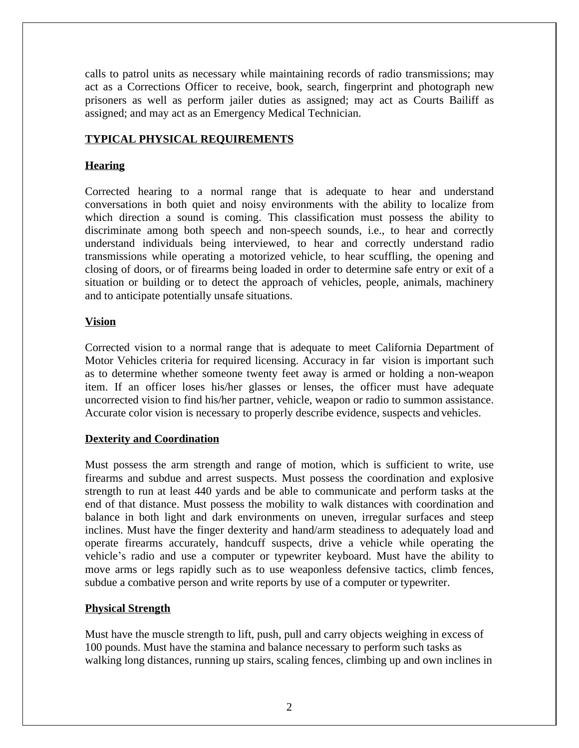calls to patrol units as necessary while maintaining records of radio transmissions; may act as a Corrections Officer to receive, book, search, fingerprint and photograph new prisoners as well as perform jailer duties as assigned; may act as Courts Bailiff as assigned; and may act as an Emergency Medical Technician.

## **TYPICAL PHYSICAL REQUIREMENTS**

## **Hearing**

Corrected hearing to a normal range that is adequate to hear and understand conversations in both quiet and noisy environments with the ability to localize from which direction a sound is coming. This classification must possess the ability to discriminate among both speech and non-speech sounds, i.e., to hear and correctly understand individuals being interviewed, to hear and correctly understand radio transmissions while operating a motorized vehicle, to hear scuffling, the opening and closing of doors, or of firearms being loaded in order to determine safe entry or exit of a situation or building or to detect the approach of vehicles, people, animals, machinery and to anticipate potentially unsafe situations.

### **Vision**

Corrected vision to a normal range that is adequate to meet California Department of Motor Vehicles criteria for required licensing. Accuracy in far vision is important such as to determine whether someone twenty feet away is armed or holding a non-weapon item. If an officer loses his/her glasses or lenses, the officer must have adequate uncorrected vision to find his/her partner, vehicle, weapon or radio to summon assistance. Accurate color vision is necessary to properly describe evidence, suspects and vehicles.

#### **Dexterity and Coordination**

Must possess the arm strength and range of motion, which is sufficient to write, use firearms and subdue and arrest suspects. Must possess the coordination and explosive strength to run at least 440 yards and be able to communicate and perform tasks at the end of that distance. Must possess the mobility to walk distances with coordination and balance in both light and dark environments on uneven, irregular surfaces and steep inclines. Must have the finger dexterity and hand/arm steadiness to adequately load and operate firearms accurately, handcuff suspects, drive a vehicle while operating the vehicle's radio and use a computer or typewriter keyboard. Must have the ability to move arms or legs rapidly such as to use weaponless defensive tactics, climb fences, subdue a combative person and write reports by use of a computer or typewriter.

#### **Physical Strength**

Must have the muscle strength to lift, push, pull and carry objects weighing in excess of 100 pounds. Must have the stamina and balance necessary to perform such tasks as walking long distances, running up stairs, scaling fences, climbing up and own inclines in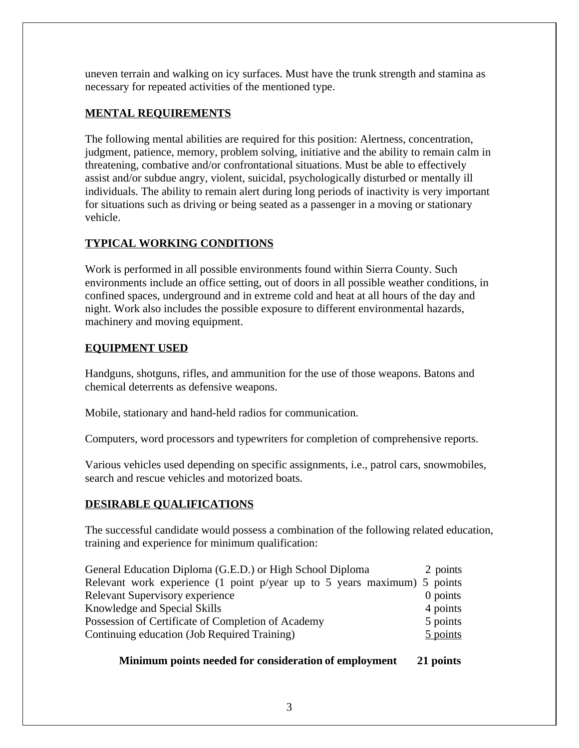uneven terrain and walking on icy surfaces. Must have the trunk strength and stamina as necessary for repeated activities of the mentioned type.

# **MENTAL REQUIREMENTS**

The following mental abilities are required for this position: Alertness, concentration, judgment, patience, memory, problem solving, initiative and the ability to remain calm in threatening, combative and/or confrontational situations. Must be able to effectively assist and/or subdue angry, violent, suicidal, psychologically disturbed or mentally ill individuals. The ability to remain alert during long periods of inactivity is very important for situations such as driving or being seated as a passenger in a moving or stationary vehicle.

# **TYPICAL WORKING CONDITIONS**

Work is performed in all possible environments found within Sierra County. Such environments include an office setting, out of doors in all possible weather conditions, in confined spaces, underground and in extreme cold and heat at all hours of the day and night. Work also includes the possible exposure to different environmental hazards, machinery and moving equipment.

# **EQUIPMENT USED**

Handguns, shotguns, rifles, and ammunition for the use of those weapons. Batons and chemical deterrents as defensive weapons.

Mobile, stationary and hand-held radios for communication.

Computers, word processors and typewriters for completion of comprehensive reports.

Various vehicles used depending on specific assignments, i.e., patrol cars, snowmobiles, search and rescue vehicles and motorized boats.

# **DESIRABLE QUALIFICATIONS**

The successful candidate would possess a combination of the following related education, training and experience for minimum qualification:

| General Education Diploma (G.E.D.) or High School Diploma                |          |  |  |  |  |  |  |
|--------------------------------------------------------------------------|----------|--|--|--|--|--|--|
| Relevant work experience (1 point p/year up to 5 years maximum) 5 points |          |  |  |  |  |  |  |
| <b>Relevant Supervisory experience</b>                                   | 0 points |  |  |  |  |  |  |
| Knowledge and Special Skills                                             | 4 points |  |  |  |  |  |  |
| Possession of Certificate of Completion of Academy                       | 5 points |  |  |  |  |  |  |
| Continuing education (Job Required Training)                             | 5 points |  |  |  |  |  |  |

**Minimum points needed for consideration of employment 21 points**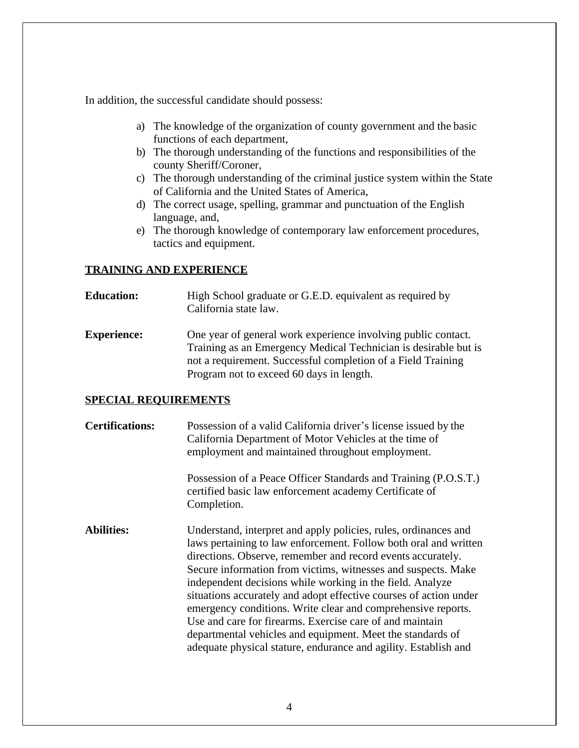In addition, the successful candidate should possess:

- a) The knowledge of the organization of county government and the basic functions of each department,
- b) The thorough understanding of the functions and responsibilities of the county Sheriff/Coroner,
- c) The thorough understanding of the criminal justice system within the State of California and the United States of America,
- d) The correct usage, spelling, grammar and punctuation of the English language, and,
- e) The thorough knowledge of contemporary law enforcement procedures, tactics and equipment.

#### **TRAINING AND EXPERIENCE**

#### **Education:** High School graduate or G.E.D. equivalent as required by California state law.

**Experience:** One year of general work experience involving public contact. Training as an Emergency Medical Technician is desirable but is not a requirement. Successful completion of a Field Training Program not to exceed 60 days in length.

#### **SPECIAL REQUIREMENTS**

| <b>Certifications:</b> | Possession of a valid California driver's license issued by the<br>California Department of Motor Vehicles at the time of<br>employment and maintained throughout employment.                                                                                                                                                                                                                                                                                                                                                                                                                                                                                      |
|------------------------|--------------------------------------------------------------------------------------------------------------------------------------------------------------------------------------------------------------------------------------------------------------------------------------------------------------------------------------------------------------------------------------------------------------------------------------------------------------------------------------------------------------------------------------------------------------------------------------------------------------------------------------------------------------------|
|                        | Possession of a Peace Officer Standards and Training (P.O.S.T.)<br>certified basic law enforcement academy Certificate of<br>Completion.                                                                                                                                                                                                                                                                                                                                                                                                                                                                                                                           |
| <b>Abilities:</b>      | Understand, interpret and apply policies, rules, ordinances and<br>laws pertaining to law enforcement. Follow both oral and written<br>directions. Observe, remember and record events accurately.<br>Secure information from victims, witnesses and suspects. Make<br>independent decisions while working in the field. Analyze<br>situations accurately and adopt effective courses of action under<br>emergency conditions. Write clear and comprehensive reports.<br>Use and care for firearms. Exercise care of and maintain<br>departmental vehicles and equipment. Meet the standards of<br>adequate physical stature, endurance and agility. Establish and |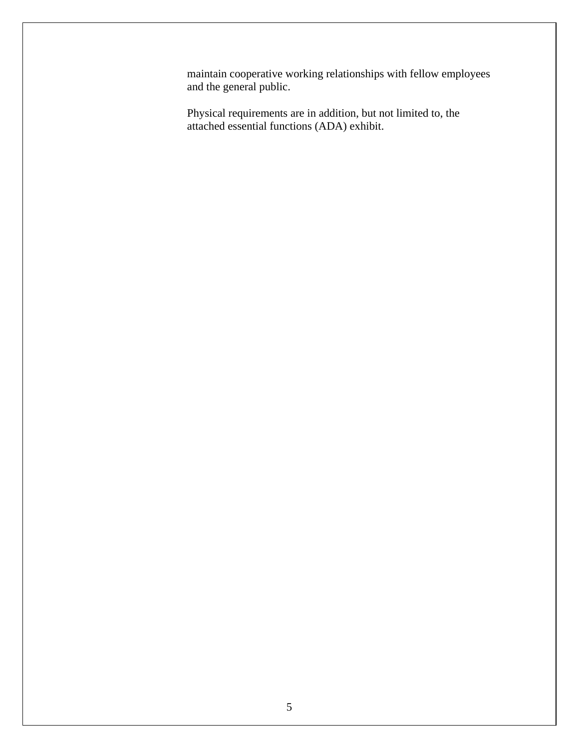maintain cooperative working relationships with fellow employees and the general public.

Physical requirements are in addition, but not limited to, the attached essential functions (ADA) exhibit.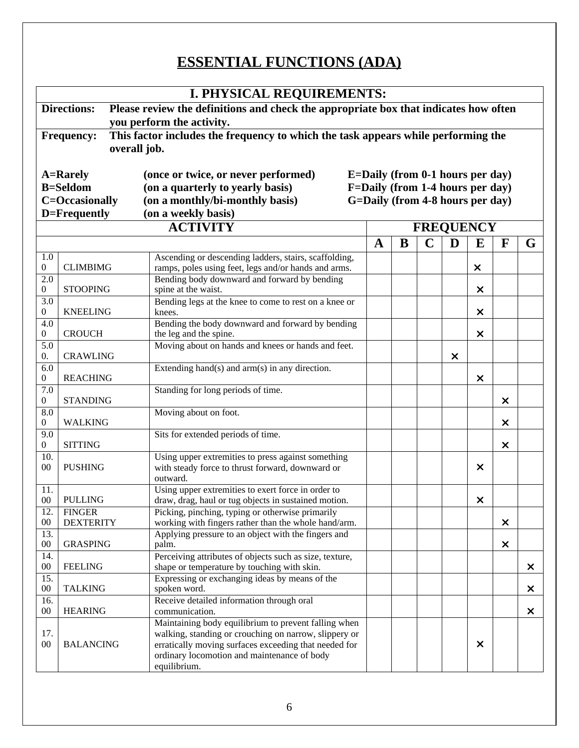# **ESSENTIAL FUNCTIONS (ADA)**

| <b>I. PHYSICAL REQUIREMENTS:</b>                                                                           |                                                                                                                                                    |                                                                                                                |   |   |             |   |          |                           |                |  |  |  |  |
|------------------------------------------------------------------------------------------------------------|----------------------------------------------------------------------------------------------------------------------------------------------------|----------------------------------------------------------------------------------------------------------------|---|---|-------------|---|----------|---------------------------|----------------|--|--|--|--|
| Please review the definitions and check the appropriate box that indicates how often<br><b>Directions:</b> |                                                                                                                                                    |                                                                                                                |   |   |             |   |          |                           |                |  |  |  |  |
| you perform the activity.                                                                                  |                                                                                                                                                    |                                                                                                                |   |   |             |   |          |                           |                |  |  |  |  |
| This factor includes the frequency to which the task appears while performing the<br><b>Frequency:</b>     |                                                                                                                                                    |                                                                                                                |   |   |             |   |          |                           |                |  |  |  |  |
| overall job.                                                                                               |                                                                                                                                                    |                                                                                                                |   |   |             |   |          |                           |                |  |  |  |  |
|                                                                                                            |                                                                                                                                                    |                                                                                                                |   |   |             |   |          |                           |                |  |  |  |  |
|                                                                                                            |                                                                                                                                                    | (once or twice, or never performed)                                                                            |   |   |             |   |          |                           |                |  |  |  |  |
|                                                                                                            | <b>A=Rarely</b><br>$E =$ Daily (from 0-1 hours per day)<br><b>B=Seldom</b><br>F=Daily (from 1-4 hours per day)<br>(on a quarterly to yearly basis) |                                                                                                                |   |   |             |   |          |                           |                |  |  |  |  |
|                                                                                                            |                                                                                                                                                    |                                                                                                                |   |   |             |   |          |                           |                |  |  |  |  |
| <b>C=Occasionally</b><br>G=Daily (from 4-8 hours per day)<br>(on a monthly/bi-monthly basis)               |                                                                                                                                                    |                                                                                                                |   |   |             |   |          |                           |                |  |  |  |  |
|                                                                                                            | (on a weekly basis)<br>D=Frequently                                                                                                                |                                                                                                                |   |   |             |   |          |                           |                |  |  |  |  |
| <b>ACTIVITY</b><br><b>FREQUENCY</b>                                                                        |                                                                                                                                                    |                                                                                                                |   |   |             |   |          |                           |                |  |  |  |  |
|                                                                                                            |                                                                                                                                                    |                                                                                                                | A | B | $\mathbf C$ | D | E        | F                         | G              |  |  |  |  |
| 1.0                                                                                                        |                                                                                                                                                    | Ascending or descending ladders, stairs, scaffolding,                                                          |   |   |             |   |          |                           |                |  |  |  |  |
| $\boldsymbol{0}$                                                                                           | <b>CLIMBIMG</b>                                                                                                                                    | ramps, poles using feet, legs and/or hands and arms.                                                           |   |   |             |   | ×        |                           |                |  |  |  |  |
| $\overline{2.0}$                                                                                           |                                                                                                                                                    | Bending body downward and forward by bending                                                                   |   |   |             |   |          |                           |                |  |  |  |  |
| 0                                                                                                          | <b>STOOPING</b>                                                                                                                                    | spine at the waist.                                                                                            |   |   |             |   | ×        |                           |                |  |  |  |  |
| 3.0                                                                                                        |                                                                                                                                                    | Bending legs at the knee to come to rest on a knee or                                                          |   |   |             |   |          |                           |                |  |  |  |  |
| 0                                                                                                          | <b>KNEELING</b>                                                                                                                                    | knees.                                                                                                         |   |   |             |   | X        |                           |                |  |  |  |  |
| 4.0                                                                                                        |                                                                                                                                                    | Bending the body downward and forward by bending                                                               |   |   |             |   |          |                           |                |  |  |  |  |
| 0                                                                                                          | <b>CROUCH</b>                                                                                                                                      | the leg and the spine.                                                                                         |   |   |             |   | ×        |                           |                |  |  |  |  |
| 5.0                                                                                                        |                                                                                                                                                    | Moving about on hands and knees or hands and feet.                                                             |   |   |             |   |          |                           |                |  |  |  |  |
| 0.                                                                                                         | <b>CRAWLING</b>                                                                                                                                    |                                                                                                                |   |   |             | × |          |                           |                |  |  |  |  |
| 6.0<br>0                                                                                                   | <b>REACHING</b>                                                                                                                                    | Extending hand(s) and $arm(s)$ in any direction.                                                               |   |   |             |   | ×        |                           |                |  |  |  |  |
| 7.0                                                                                                        |                                                                                                                                                    | Standing for long periods of time.                                                                             |   |   |             |   |          |                           |                |  |  |  |  |
| 0                                                                                                          | <b>STANDING</b>                                                                                                                                    |                                                                                                                |   |   |             |   |          | ×                         |                |  |  |  |  |
| 8.0                                                                                                        |                                                                                                                                                    | Moving about on foot.                                                                                          |   |   |             |   |          |                           |                |  |  |  |  |
| 0                                                                                                          | <b>WALKING</b>                                                                                                                                     |                                                                                                                |   |   |             |   |          | ×                         |                |  |  |  |  |
| 9.0                                                                                                        |                                                                                                                                                    | Sits for extended periods of time.                                                                             |   |   |             |   |          |                           |                |  |  |  |  |
| 0                                                                                                          | <b>SITTING</b>                                                                                                                                     |                                                                                                                |   |   |             |   |          | $\times$                  |                |  |  |  |  |
| 10.                                                                                                        |                                                                                                                                                    | Using upper extremities to press against something                                                             |   |   |             |   |          |                           |                |  |  |  |  |
| 00                                                                                                         | <b>PUSHING</b>                                                                                                                                     | with steady force to thrust forward, downward or                                                               |   |   |             |   | X        |                           |                |  |  |  |  |
|                                                                                                            |                                                                                                                                                    | outward.                                                                                                       |   |   |             |   |          |                           |                |  |  |  |  |
| 11.                                                                                                        |                                                                                                                                                    | Using upper extremities to exert force in order to                                                             |   |   |             |   |          |                           |                |  |  |  |  |
| $00\,$<br>12.                                                                                              | <b>PULLING</b>                                                                                                                                     | draw, drag, haul or tug objects in sustained motion.<br>Picking, pinching, typing or otherwise primarily       |   |   |             |   | ×        |                           |                |  |  |  |  |
| $00\,$                                                                                                     | <b>FINGER</b><br><b>DEXTERITY</b>                                                                                                                  | working with fingers rather than the whole hand/arm.                                                           |   |   |             |   |          | $\times$                  |                |  |  |  |  |
| 13.                                                                                                        |                                                                                                                                                    | Applying pressure to an object with the fingers and                                                            |   |   |             |   |          |                           |                |  |  |  |  |
| $00\,$                                                                                                     | <b>GRASPING</b>                                                                                                                                    | palm.                                                                                                          |   |   |             |   |          | $\boldsymbol{\mathsf{x}}$ |                |  |  |  |  |
| 14.                                                                                                        |                                                                                                                                                    | Perceiving attributes of objects such as size, texture,                                                        |   |   |             |   |          |                           |                |  |  |  |  |
| $00\,$                                                                                                     | <b>FEELING</b>                                                                                                                                     | shape or temperature by touching with skin.                                                                    |   |   |             |   |          |                           | X              |  |  |  |  |
| 15.                                                                                                        |                                                                                                                                                    | Expressing or exchanging ideas by means of the                                                                 |   |   |             |   |          |                           |                |  |  |  |  |
| $00\,$                                                                                                     | <b>TALKING</b>                                                                                                                                     | spoken word.                                                                                                   |   |   |             |   |          |                           | $\pmb{\times}$ |  |  |  |  |
| 16.                                                                                                        |                                                                                                                                                    | Receive detailed information through oral                                                                      |   |   |             |   |          |                           |                |  |  |  |  |
| $00\,$                                                                                                     | <b>HEARING</b>                                                                                                                                     | communication.                                                                                                 |   |   |             |   |          |                           | X              |  |  |  |  |
|                                                                                                            |                                                                                                                                                    | Maintaining body equilibrium to prevent falling when                                                           |   |   |             |   |          |                           |                |  |  |  |  |
| 17.<br>$00\,$                                                                                              | <b>BALANCING</b>                                                                                                                                   | walking, standing or crouching on narrow, slippery or<br>erratically moving surfaces exceeding that needed for |   |   |             |   | $\times$ |                           |                |  |  |  |  |
|                                                                                                            |                                                                                                                                                    | ordinary locomotion and maintenance of body                                                                    |   |   |             |   |          |                           |                |  |  |  |  |
|                                                                                                            |                                                                                                                                                    | equilibrium.                                                                                                   |   |   |             |   |          |                           |                |  |  |  |  |
|                                                                                                            |                                                                                                                                                    |                                                                                                                |   |   |             |   |          |                           |                |  |  |  |  |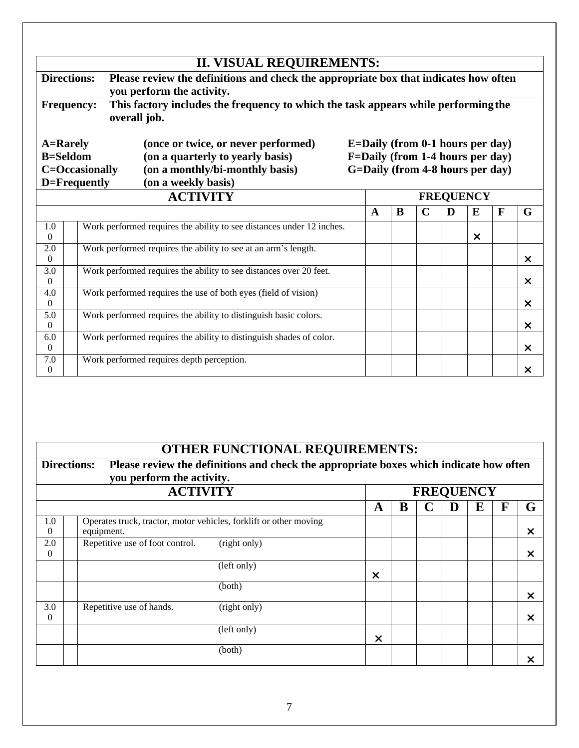|                                                                                                                                                                                                                           |                                           |                                                                                                                   | <b>II. VISUAL REQUIREMENTS:</b> |  |              |   |             |                  |                           |   |                           |
|---------------------------------------------------------------------------------------------------------------------------------------------------------------------------------------------------------------------------|-------------------------------------------|-------------------------------------------------------------------------------------------------------------------|---------------------------------|--|--------------|---|-------------|------------------|---------------------------|---|---------------------------|
| <b>Directions:</b>                                                                                                                                                                                                        |                                           | Please review the definitions and check the appropriate box that indicates how often<br>you perform the activity. |                                 |  |              |   |             |                  |                           |   |                           |
| This factory includes the frequency to which the task appears while performing the<br><b>Frequency:</b><br>overall job.                                                                                                   |                                           |                                                                                                                   |                                 |  |              |   |             |                  |                           |   |                           |
| E=Daily (from 0-1 hours per day)<br><b>A=Rarely</b><br>(once or twice, or never performed)<br>F=Daily (from 1-4 hours per day)<br><b>B=Seldom</b><br>(on a quarterly to yearly basis)<br>G=Daily (from 4-8 hours per day) |                                           |                                                                                                                   |                                 |  |              |   |             |                  |                           |   |                           |
|                                                                                                                                                                                                                           | C=Occasionally<br>D=Frequently            | (on a monthly/bi-monthly basis)<br>(on a weekly basis)                                                            |                                 |  |              |   |             |                  |                           |   |                           |
|                                                                                                                                                                                                                           |                                           | <b>ACTIVITY</b>                                                                                                   |                                 |  |              |   |             | <b>FREQUENCY</b> |                           |   |                           |
|                                                                                                                                                                                                                           |                                           |                                                                                                                   |                                 |  | $\mathbf{A}$ | R | $\mathbf C$ | D                | E                         | F | G                         |
| 1.0<br>$\Omega$                                                                                                                                                                                                           |                                           | Work performed requires the ability to see distances under 12 inches.                                             |                                 |  |              |   |             |                  | $\boldsymbol{\mathsf{x}}$ |   |                           |
| 2.0<br>$\theta$                                                                                                                                                                                                           |                                           | Work performed requires the ability to see at an arm's length.                                                    |                                 |  |              |   |             |                  |                           |   | $\times$                  |
| $\overline{3.0}$<br>$\Omega$                                                                                                                                                                                              |                                           | Work performed requires the ability to see distances over 20 feet.                                                |                                 |  |              |   |             |                  |                           |   | $\boldsymbol{\mathsf{x}}$ |
| 4.0<br>$\theta$                                                                                                                                                                                                           |                                           | Work performed requires the use of both eyes (field of vision)                                                    |                                 |  |              |   |             |                  |                           |   | $\times$                  |
| 5.0<br>$\Omega$                                                                                                                                                                                                           |                                           | Work performed requires the ability to distinguish basic colors.                                                  |                                 |  |              |   |             |                  |                           |   | $\times$                  |
| 6.0<br>$\theta$                                                                                                                                                                                                           |                                           | Work performed requires the ability to distinguish shades of color.                                               |                                 |  |              |   |             |                  |                           |   | $\times$                  |
| 7.0<br>$\theta$                                                                                                                                                                                                           | Work performed requires depth perception. |                                                                                                                   |                                 |  |              |   |             |                  |                           |   | ×                         |

# **OTHER FUNCTIONAL REQUIREMENTS:**

 $\overline{\phantom{a}}$ 

| <b>Directions:</b> | you perform the activity.       | Please review the definitions and check the appropriate boxes which indicate how often |                           |  |  |   |  |   |          |  |  |
|--------------------|---------------------------------|----------------------------------------------------------------------------------------|---------------------------|--|--|---|--|---|----------|--|--|
|                    | <b>ACTIVITY</b>                 | <b>FREQUENCY</b>                                                                       |                           |  |  |   |  |   |          |  |  |
|                    |                                 | A                                                                                      | В                         |  |  | E |  | G |          |  |  |
| 1.0<br>$\theta$    | equipment.                      | Operates truck, tractor, motor vehicles, forklift or other moving                      |                           |  |  |   |  |   | $\times$ |  |  |
| 2.0<br>$\theta$    | Repetitive use of foot control. | (right only)                                                                           |                           |  |  |   |  |   | $\times$ |  |  |
|                    |                                 | (left only)                                                                            | X                         |  |  |   |  |   |          |  |  |
|                    |                                 | (both)                                                                                 |                           |  |  |   |  |   | $\times$ |  |  |
| 3.0<br>$\Omega$    | Repetitive use of hands.        | (right only)                                                                           |                           |  |  |   |  |   | $\times$ |  |  |
|                    |                                 | (left only)                                                                            | $\boldsymbol{\mathsf{x}}$ |  |  |   |  |   |          |  |  |
|                    |                                 | (both)                                                                                 |                           |  |  |   |  |   | ×        |  |  |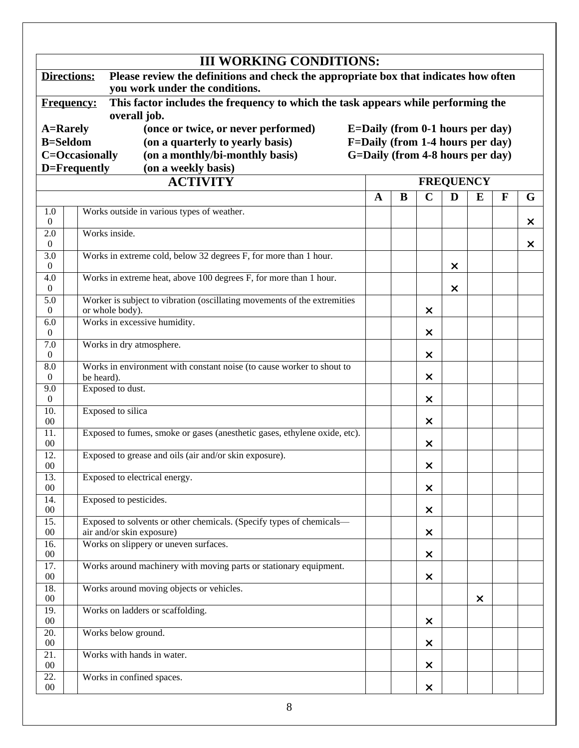| Directions:                  | Please review the definitions and check the appropriate box that indicates how often<br>you work under the conditions.         |                                  |   |                |                  |   |              |   |  |  |
|------------------------------|--------------------------------------------------------------------------------------------------------------------------------|----------------------------------|---|----------------|------------------|---|--------------|---|--|--|
| <b>Frequency:</b>            | This factor includes the frequency to which the task appears while performing the<br>overall job.                              |                                  |   |                |                  |   |              |   |  |  |
|                              | <b>A=Rarely</b><br>(once or twice, or never performed)<br>E=Daily (from 0-1 hours per day)<br>F=Daily (from 1-4 hours per day) |                                  |   |                |                  |   |              |   |  |  |
| <b>B=Seldom</b>              | (on a quarterly to yearly basis)                                                                                               |                                  |   |                |                  |   |              |   |  |  |
|                              | (on a monthly/bi-monthly basis)<br>C=Occasionally                                                                              | G=Daily (from 4-8 hours per day) |   |                |                  |   |              |   |  |  |
|                              | D=Frequently<br>(on a weekly basis)<br><b>ACTIVITY</b>                                                                         |                                  |   |                | <b>FREQUENCY</b> |   |              |   |  |  |
|                              |                                                                                                                                | $\mathbf{A}$                     | B | $\mathbf C$    | D                | E | $\mathbf{F}$ |   |  |  |
|                              |                                                                                                                                |                                  |   |                |                  |   |              | G |  |  |
| 1.0<br>$\overline{0}$        | Works outside in various types of weather.                                                                                     |                                  |   |                |                  |   |              | × |  |  |
| 2.0                          | Works inside.                                                                                                                  |                                  |   |                |                  |   |              |   |  |  |
| $\theta$                     |                                                                                                                                |                                  |   |                |                  |   |              | × |  |  |
| 3.0<br>$\Omega$              | Works in extreme cold, below 32 degrees F, for more than 1 hour.                                                               |                                  |   |                | ×                |   |              |   |  |  |
| 4.0                          | Works in extreme heat, above 100 degrees F, for more than 1 hour.                                                              |                                  |   |                |                  |   |              |   |  |  |
| $\Omega$                     |                                                                                                                                |                                  |   |                | $\times$         |   |              |   |  |  |
| $\overline{5.0}$<br>$\Omega$ | Worker is subject to vibration (oscillating movements of the extremities<br>or whole body).                                    |                                  |   | $\times$       |                  |   |              |   |  |  |
| 6.0                          | Works in excessive humidity.                                                                                                   |                                  |   |                |                  |   |              |   |  |  |
| $\Omega$                     |                                                                                                                                |                                  |   | $\times$       |                  |   |              |   |  |  |
| 7.0<br>$\Omega$              | Works in dry atmosphere.                                                                                                       |                                  |   | $\times$       |                  |   |              |   |  |  |
| 8.0                          | Works in environment with constant noise (to cause worker to shout to                                                          |                                  |   |                |                  |   |              |   |  |  |
| $\Omega$                     | be heard).                                                                                                                     |                                  |   | ×              |                  |   |              |   |  |  |
| 9.0<br>$\boldsymbol{0}$      | Exposed to dust.                                                                                                               |                                  |   | $\times$       |                  |   |              |   |  |  |
| 10.                          | Exposed to silica                                                                                                              |                                  |   |                |                  |   |              |   |  |  |
| 00                           |                                                                                                                                |                                  |   | ×              |                  |   |              |   |  |  |
| 11.<br>00                    | Exposed to fumes, smoke or gases (anesthetic gases, ethylene oxide, etc).                                                      |                                  |   | ×              |                  |   |              |   |  |  |
| 12.                          | Exposed to grease and oils (air and/or skin exposure).                                                                         |                                  |   |                |                  |   |              |   |  |  |
| $00\,$                       |                                                                                                                                |                                  |   | ×              |                  |   |              |   |  |  |
| 13.<br>$00\,$                | Exposed to electrical energy.                                                                                                  |                                  |   | $\times$       |                  |   |              |   |  |  |
| 14.                          | Exposed to pesticides.                                                                                                         |                                  |   |                |                  |   |              |   |  |  |
| $00\,$                       |                                                                                                                                |                                  |   | $\pmb{\times}$ |                  |   |              |   |  |  |
| 15.<br>$00\,$                | Exposed to solvents or other chemicals. (Specify types of chemicals-<br>air and/or skin exposure)                              |                                  |   |                |                  |   |              |   |  |  |
| 16.                          | Works on slippery or uneven surfaces.                                                                                          |                                  |   | $\pmb{\times}$ |                  |   |              |   |  |  |
| $00\,$                       |                                                                                                                                |                                  |   | $\times$       |                  |   |              |   |  |  |
| 17.<br>$00\,$                | Works around machinery with moving parts or stationary equipment.                                                              |                                  |   | $\times$       |                  |   |              |   |  |  |
| 18.                          | Works around moving objects or vehicles.                                                                                       |                                  |   |                |                  |   |              |   |  |  |
| $00\,$                       |                                                                                                                                |                                  |   |                |                  | × |              |   |  |  |
| 19.                          | Works on ladders or scaffolding.                                                                                               |                                  |   |                |                  |   |              |   |  |  |
| $00\,$<br>20.                | Works below ground.                                                                                                            |                                  |   | $\pmb{\times}$ |                  |   |              |   |  |  |
| $00\,$                       |                                                                                                                                |                                  |   | $\pmb{\times}$ |                  |   |              |   |  |  |
| 21.                          | Works with hands in water.                                                                                                     |                                  |   |                |                  |   |              |   |  |  |
| $00\,$<br>22.                | Works in confined spaces.                                                                                                      |                                  |   | $\pmb{\times}$ |                  |   |              |   |  |  |
| $00\,$                       |                                                                                                                                |                                  |   | $\pmb{\times}$ |                  |   |              |   |  |  |